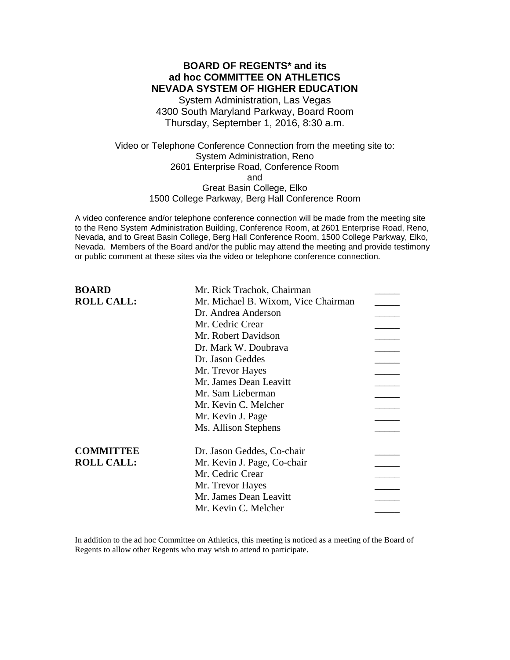## **BOARD OF REGENTS\* and its ad hoc COMMITTEE ON ATHLETICS NEVADA SYSTEM OF HIGHER EDUCATION**

System Administration, Las Vegas 4300 South Maryland Parkway, Board Room Thursday, September 1, 2016, 8:30 a.m.

Video or Telephone Conference Connection from the meeting site to: System Administration, Reno 2601 Enterprise Road, Conference Room and Great Basin College, Elko 1500 College Parkway, Berg Hall Conference Room

A video conference and/or telephone conference connection will be made from the meeting site to the Reno System Administration Building, Conference Room, at 2601 Enterprise Road, Reno, Nevada, and to Great Basin College, Berg Hall Conference Room, 1500 College Parkway, Elko, Nevada. Members of the Board and/or the public may attend the meeting and provide testimony or public comment at these sites via the video or telephone conference connection.

| <b>BOARD</b>      | Mr. Rick Trachok, Chairman          |  |
|-------------------|-------------------------------------|--|
| <b>ROLL CALL:</b> | Mr. Michael B. Wixom, Vice Chairman |  |
|                   | Dr. Andrea Anderson                 |  |
|                   | Mr. Cedric Crear                    |  |
|                   | Mr. Robert Davidson                 |  |
|                   | Dr. Mark W. Doubrava                |  |
|                   | Dr. Jason Geddes                    |  |
|                   | Mr. Trevor Hayes                    |  |
|                   | Mr. James Dean Leavitt              |  |
|                   | Mr. Sam Lieberman                   |  |
|                   | Mr. Kevin C. Melcher                |  |
|                   | Mr. Kevin J. Page                   |  |
|                   | Ms. Allison Stephens                |  |
| <b>COMMITTEE</b>  | Dr. Jason Geddes, Co-chair          |  |
| <b>ROLL CALL:</b> | Mr. Kevin J. Page, Co-chair         |  |
|                   | Mr. Cedric Crear                    |  |
|                   | Mr. Trevor Hayes                    |  |
|                   | Mr. James Dean Leavitt              |  |
|                   | Mr. Kevin C. Melcher                |  |
|                   |                                     |  |

In addition to the ad hoc Committee on Athletics, this meeting is noticed as a meeting of the Board of Regents to allow other Regents who may wish to attend to participate.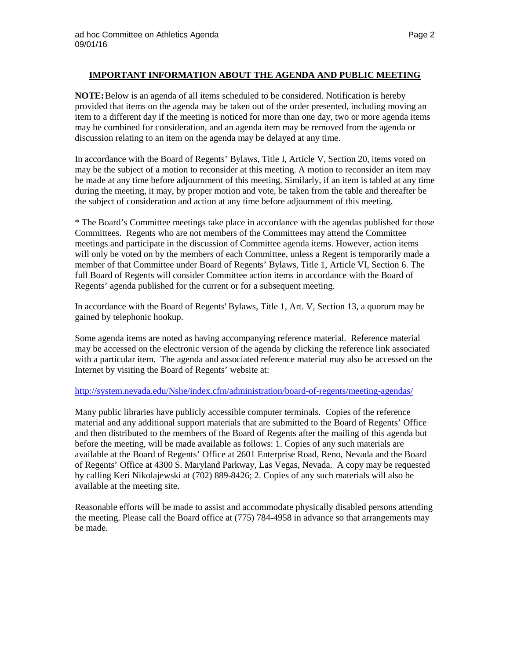### **IMPORTANT INFORMATION ABOUT THE AGENDA AND PUBLIC MEETING**

**NOTE:**Below is an agenda of all items scheduled to be considered. Notification is hereby provided that items on the agenda may be taken out of the order presented, including moving an item to a different day if the meeting is noticed for more than one day, two or more agenda items may be combined for consideration, and an agenda item may be removed from the agenda or discussion relating to an item on the agenda may be delayed at any time.

In accordance with the Board of Regents' Bylaws, Title I, Article V, Section 20, items voted on may be the subject of a motion to reconsider at this meeting. A motion to reconsider an item may be made at any time before adjournment of this meeting. Similarly, if an item is tabled at any time during the meeting, it may, by proper motion and vote, be taken from the table and thereafter be the subject of consideration and action at any time before adjournment of this meeting.

\* The Board's Committee meetings take place in accordance with the agendas published for those Committees. Regents who are not members of the Committees may attend the Committee meetings and participate in the discussion of Committee agenda items. However, action items will only be voted on by the members of each Committee, unless a Regent is temporarily made a member of that Committee under Board of Regents' Bylaws, Title 1, Article VI, Section 6. The full Board of Regents will consider Committee action items in accordance with the Board of Regents' agenda published for the current or for a subsequent meeting.

In accordance with the Board of Regents' Bylaws, Title 1, Art. V, Section 13, a quorum may be gained by telephonic hookup.

Some agenda items are noted as having accompanying reference material. Reference material may be accessed on the electronic version of the agenda by clicking the reference link associated with a particular item. The agenda and associated reference material may also be accessed on the Internet by visiting the Board of Regents' website at:

### <http://system.nevada.edu/Nshe/index.cfm/administration/board-of-regents/meeting-agendas/>

Many public libraries have publicly accessible computer terminals. Copies of the reference material and any additional support materials that are submitted to the Board of Regents' Office and then distributed to the members of the Board of Regents after the mailing of this agenda but before the meeting, will be made available as follows: 1. Copies of any such materials are available at the Board of Regents' Office at 2601 Enterprise Road, Reno, Nevada and the Board of Regents' Office at 4300 S. Maryland Parkway, Las Vegas, Nevada. A copy may be requested by calling Keri Nikolajewski at (702) 889-8426; 2. Copies of any such materials will also be available at the meeting site.

Reasonable efforts will be made to assist and accommodate physically disabled persons attending the meeting. Please call the Board office at (775) 784-4958 in advance so that arrangements may be made.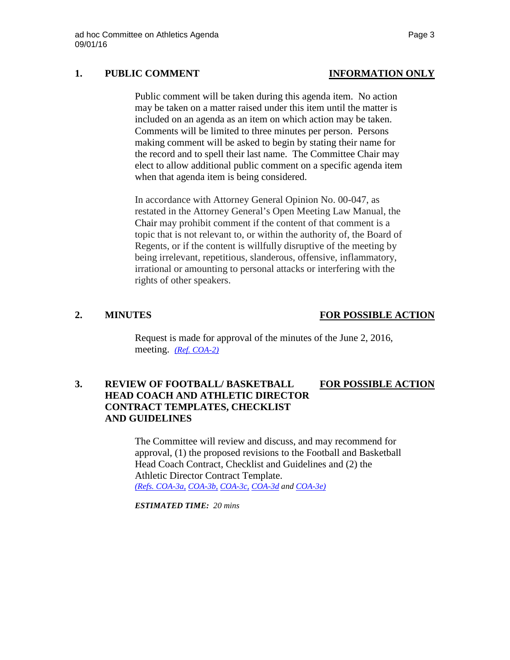# **1. PUBLIC COMMENT INFORMATION ONLY**

Public comment will be taken during this agenda item. No action may be taken on a matter raised under this item until the matter is included on an agenda as an item on which action may be taken. Comments will be limited to three minutes per person. Persons making comment will be asked to begin by stating their name for the record and to spell their last name. The Committee Chair may elect to allow additional public comment on a specific agenda item when that agenda item is being considered.

In accordance with Attorney General Opinion No. 00-047, as restated in the Attorney General's Open Meeting Law Manual, the Chair may prohibit comment if the content of that comment is a topic that is not relevant to, or within the authority of, the Board of Regents, or if the content is willfully disruptive of the meeting by being irrelevant, repetitious, slanderous, offensive, inflammatory, irrational or amounting to personal attacks or interfering with the rights of other speakers.

## **2. MINUTES FOR POSSIBLE ACTION**

Request is made for approval of the minutes of the June 2, 2016, meeting. *[\(Ref. COA-2\)](http://system.nevada.edu/tasks/sites/Nshe/assets/File/BoardOfRegents/Agendas/2016/sept-mtgs/athl-refs/COA-2.pdf)*

# **3. REVIEW OF FOOTBALL/ BASKETBALL FOR POSSIBLE ACTION HEAD COACH AND ATHLETIC DIRECTOR CONTRACT TEMPLATES, CHECKLIST AND GUIDELINES**

The Committee will review and discuss, and may recommend for approval, (1) the proposed revisions to the Football and Basketball Head Coach Contract, Checklist and Guidelines and (2) the Athletic Director Contract Template. *[\(Refs. COA-3a,](http://system.nevada.edu/tasks/sites/Nshe/assets/File/BoardOfRegents/Agendas/2016/sept-mtgs/athl-refs/COA-3a.pdf) [COA-3b,](http://system.nevada.edu/tasks/sites/Nshe/assets/File/BoardOfRegents/Agendas/2016/sept-mtgs/athl-refs/COA-3b.pdf) [COA-3c,](http://system.nevada.edu/tasks/sites/Nshe/assets/File/BoardOfRegents/Agendas/2016/sept-mtgs/athl-refs/COA-3c.pdf) [COA-3d](http://system.nevada.edu/tasks/sites/Nshe/assets/File/BoardOfRegents/Agendas/2016/sept-mtgs/athl-refs/COA-3d.pdf) and [COA-3e\)](http://system.nevada.edu/tasks/sites/Nshe/assets/File/BoardOfRegents/Agendas/2016/sept-mtgs/athl-refs/COA-3e.pdf)*

*ESTIMATED TIME: 20 mins*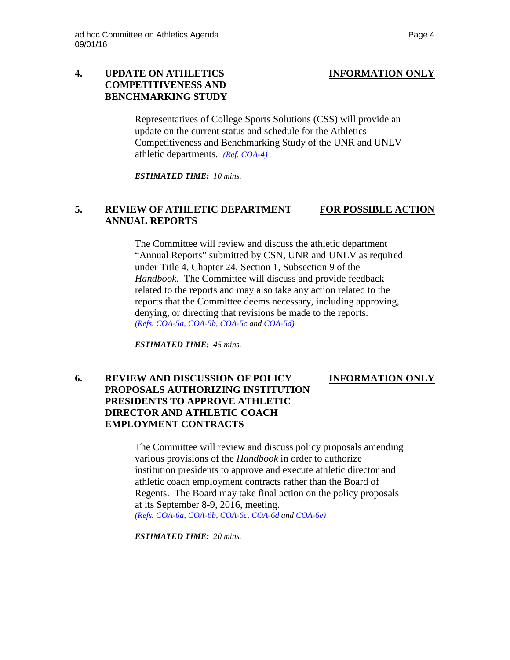# **4. UPDATE ON ATHLETICS INFORMATION ONLY COMPETITIVENESS AND BENCHMARKING STUDY**

Representatives of College Sports Solutions (CSS) will provide an update on the current status and schedule for the Athletics Competitiveness and Benchmarking Study of the UNR and UNLV athletic departments. *[\(Ref. COA-4\)](http://system.nevada.edu/tasks/sites/Nshe/assets/File/BoardOfRegents/Agendas/2016/sept-mtgs/athl-refs/COA-4.pdf)*

*ESTIMATED TIME: 10 mins.*

### **5. REVIEW OF ATHLETIC DEPARTMENT FOR POSSIBLE ACTION ANNUAL REPORTS**

The Committee will review and discuss the athletic department "Annual Reports" submitted by CSN, UNR and UNLV as required under Title 4, Chapter 24, Section 1, Subsection 9 of the *Handbook*. The Committee will discuss and provide feedback related to the reports and may also take any action related to the reports that the Committee deems necessary, including approving, denying, or directing that revisions be made to the reports. *[\(Refs. COA-5a,](http://system.nevada.edu/tasks/sites/Nshe/assets/File/BoardOfRegents/Agendas/2016/sept-mtgs/athl-refs/COA-5a.pdf) [COA-5b,](http://system.nevada.edu/tasks/sites/Nshe/assets/File/BoardOfRegents/Agendas/2016/sept-mtgs/athl-refs/COA-5b.pdf) [COA-5c](http://system.nevada.edu/tasks/sites/Nshe/assets/File/BoardOfRegents/Agendas/2016/sept-mtgs/athl-refs/COA-5c.pdf) and [COA-5d\)](http://system.nevada.edu/tasks/sites/Nshe/assets/File/BoardOfRegents/Agendas/2016/sept-mtgs/athl-refs/COA-5d.pdf)*

*ESTIMATED TIME: 45 mins.*

## **6. REVIEW AND DISCUSSION OF POLICY INFORMATION ONLY PROPOSALS AUTHORIZING INSTITUTION PRESIDENTS TO APPROVE ATHLETIC DIRECTOR AND ATHLETIC COACH EMPLOYMENT CONTRACTS**

The Committee will review and discuss policy proposals amending various provisions of the *Handbook* in order to authorize institution presidents to approve and execute athletic director and athletic coach employment contracts rather than the Board of Regents. The Board may take final action on the policy proposals at its September 8-9, 2016, meeting. *[\(Refs. COA-6a,](http://system.nevada.edu/tasks/sites/Nshe/assets/File/BoardOfRegents/Agendas/2016/sept-mtgs/athl-refs/COA-6a.pdf) [COA-6b,](http://system.nevada.edu/tasks/sites/Nshe/assets/File/BoardOfRegents/Agendas/2016/sept-mtgs/athl-refs/COA-6b.pdf) [COA-6c,](http://system.nevada.edu/tasks/sites/Nshe/assets/File/BoardOfRegents/Agendas/2016/sept-mtgs/athl-refs/COA-6c.pdf) [COA-6d](http://system.nevada.edu/tasks/sites/Nshe/assets/File/BoardOfRegents/Agendas/2016/sept-mtgs/athl-refs/COA-6d.pdf) and [COA-6e\)](http://system.nevada.edu/tasks/sites/Nshe/assets/File/BoardOfRegents/Agendas/2016/sept-mtgs/athl-refs/COA-6e.pdf)*

*ESTIMATED TIME: 20 mins.*